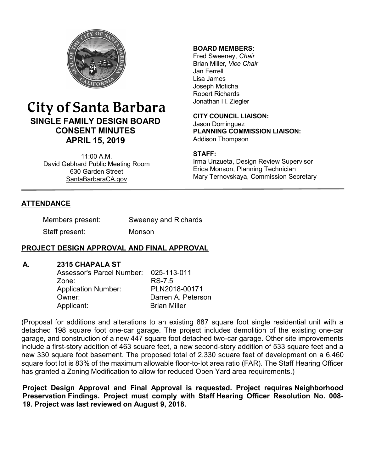

# City of Santa Barbara **SINGLE FAMILY DESIGN BOARD CONSENT MINUTES APRIL 15, 2019**

11:00 A.M. David Gebhard Public Meeting Room 630 Garden Street [SantaBarbaraCA.gov](http://www.santabarbaraca.gov/)

### **BOARD MEMBERS:**

Fred Sweeney, *Chair* Brian Miller, *Vice Chair* Jan Ferrell Lisa James Joseph Moticha Robert Richards Jonathan H. Ziegler

**CITY COUNCIL LIAISON:** Jason Dominguez **PLANNING COMMISSION LIAISON:** Addison Thompson

### **STAFF:**

Irma Unzueta, Design Review Supervisor Erica Monson, Planning Technician Mary Ternovskaya, Commission Secretary

## **ATTENDANCE**

| Members present: | <b>Sweeney and Richards</b> |
|------------------|-----------------------------|
| Staff present:   | Monson                      |

## **PROJECT DESIGN APPROVAL AND FINAL APPROVAL**

### **A. 2315 CHAPALA ST**

| Assessor's Parcel Number: 025-113-011 |                     |
|---------------------------------------|---------------------|
| Zone:                                 | RS-7.5              |
| <b>Application Number:</b>            | PLN2018-00171       |
| Owner:                                | Darren A. Peterson  |
| Applicant:                            | <b>Brian Miller</b> |

(Proposal for additions and alterations to an existing 887 square foot single residential unit with a detached 198 square foot one-car garage. The project includes demolition of the existing one-car garage, and construction of a new 447 square foot detached two-car garage. Other site improvements include a first-story addition of 463 square feet, a new second-story addition of 533 square feet and a new 330 square foot basement. The proposed total of 2,330 square feet of development on a 6,460 square foot lot is 83% of the maximum allowable floor-to-lot area ratio (FAR). The Staff Hearing Officer has granted a Zoning Modification to allow for reduced Open Yard area requirements.)

**Project Design Approval and Final Approval is requested. Project requires Neighborhood Preservation Findings. Project must comply with Staff Hearing Officer Resolution No. 008- 19. Project was last reviewed on August 9, 2018.**